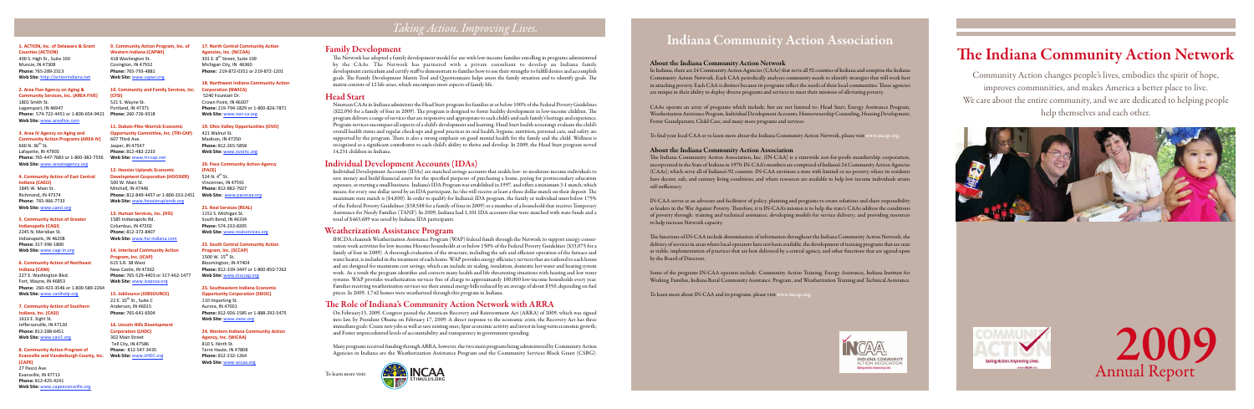# The Indiana Community Action Network

The Network has adopted a family development model for use with low-income families enrolling in programs administered by the CAAs. The Network has partnered with a private consultant to develop an Indiana family development curriculum and certify staff to demonstrate to families how to use their strengths to fulfill desires and accomplish goals. The Family Development Matrix Tool and Questionnaire helps assess the family situation and to identify goals. The matrix consists of 12 life areas, which encompass most aspects of family life.

Nineteen CAAs in Indiana administer the Head Start program for families at or below 100% of the Federal Poverty Guidelines (\$22,050 for a family of four in 2009). The program is designed to foster healthy development in low-income children. The program delivers a range of services that are responsive and appropriate to each child's and each family's heritage and experience. Program services encompass all aspects of a child's development and learning. Head Start health screenings evaluate the child's overall health status and regular check-ups and good practices in oral health, hygiene, nutrition, personal care, and safety are supported by the program. There is also a strong emphasis on good mental health for the family and the child. Wellness is recognized as a significant contributor to each child's ability to thrive and develop. In 2009, the Head Start program served 14,231 children in Indiana.

Individual Development Accounts (IDAs) are matched savings accounts that enable low- to moderate-income individuals to save money and build financial assets for the specified purposes of purchasing a home, paying for postsecondary education expenses, or starting a small business. Indiana's IDA Program was established in 1997, and offers a minimum 3:1 match, which means, for every one dollar saved by an IDA participant, he/she will receive at least a three dollar match on their deposit. The maximum state match is (\$4,800). In order to qualify for Indiana's IDA program, the family or individual must below 175% of the Federal Poverty Guidelines (\$38,588 for a family of four in 2009) or a member of a household that receives Temporary Assistance for Needy Families (TANF). In 2009, Indiana had 1,101 IDA accounts that were matched with state funds and a total of \$463,689 was saved by Indiana IDA participants.

IHCDA channels Weatherization Assistance Program (WAP) federal funds through the Network to support energy conservation work activities for low-income Hoosier households at or below 150% of the Federal Poverty Guidelines (\$33,075 for a family of four in 2009). A thorough evaluation of the structure, including the safe and efficient operation of the furnace and water heater, is included in the treatment of each home. WAP provides energy efficiency services that are tailored to each house and are designed for maximum cost savings, which can include air sealing, insulation, domestic hot water and heating system work. As a result the program identifies and corrects many health and life threatening situations with heating and hot water systems. WAP provides weatherization services free of charge to approximately 100,000 low-income households every year. Families receiving weatherization services see their annual energy bills reduced by an average of about \$350, depending on fuel prices. In 2009, 1,742 homes were weatherized through this program in Indiana.

On February13, 2009, Congress passed the American Recovery and Reinvestment Act (ARRA) of 2009, which was signed into law, by President Obama on February 17, 2009. A direct response to the economic crisis, the Recovery Act has three immediate goals: Create new jobs as well as save existing ones; Spur economic activity and invest in long-term economic growth; and Foster unprecedented levels of accountability and transparency in government spending.

**Indiana,
Inc.
(CASI)** 1613
E.
Eight
St. Jeffersonville,
IN
47130 **Phone:**812‐288‐6451 Web Site: www.casi1.org

> Many programs received funding through ARRA, however, the two main programs being administered by Community Action Agencies in Indiana are the Weatherization Assistance Program and the Community Services Block Grant (CSBG).

# *Taking Action. Improving Lives.*





#### 10. Community and Family Services, Inc. **(CFSI)**  521
S.
Wayne
St. Portland,
IN
47371

**Phone:**260‐726‐9318 **11.
Dubois‐Pike‐Warrick
Economic Opportunity Committee, Inc. (TRI-CAP)** 

Community Action changes people's lives, embodies the spirit of hope, improves communities, and makes America a better place to live. We care about the entire community, and we are dedicated to helping people help themselves and each other.





# Indiana Community Action Association

#### **14.
Interlocal
Community
Action Program,
Inc.
(ICAP)** 615
S.R.
38
West New
Castle,
IN
47362 Phone: 765-529-4403 or 317-462-1477

### About the Indiana Community Action Network

#### **15.
JobSource
(JOBSOURCE)** 22 E.  $10^{th}$  St., Suite C

In Indiana, there are 24 Community Action Agencies (CAAs) that serve all 92 counties of Indiana and comprise the Indiana Community Action Network. Each CAA periodically analyzes community needs to identify strategies that will work best in attacking poverty. Each CAA is distinct because its programs reflect the needs of their local communities. These agencies are unique in their ability to deploy diverse programs and services to meet their missions of alleviating poverty.

CAAs operate an array of programs which include, but are not limited to: Head Start, Energy Assistance Program, Weatherization Assistance Program, Individual Development Accounts, Homeownership Counseling, Housing Development, Foster Grandparents, Child Care, and many more programs and services.

**Opportunity Corporation (SIEOC)** 110
Importing
St. Aurora,
IN
47001 Phone: 812-926-1585 or 1-888-292-5475 **Web
Site:** www.sieoc.org

To find your local CAA or to learn more about the Indiana Community Action Network, please visit www.incap.org.

#### About the Indiana Community Action Association

The Indiana Community Action Association, Inc. (IN-CAA) is a statewide not-for-profit membership corporation, incorporated in the State of Indiana in 1970. IN-CAA's members are comprised of Indiana's 24 Community Action Agencies (CAAs), which serve all of Indiana's 92 counties. IN-CAA envisions a state with limited or no poverty, where its residents have decent, safe, and sanitary living conditions, and where resources are available to help low income individuals attain self-sufficiency.

IN-CAA serves as an advocate and facilitator of policy, planning and programs to create solutions and share responsibility as leaders in the War Against Poverty. Therefore, it is IN-CAA's mission is to help the state's CAAs address the conditions of poverty through: training and technical assistance; developing models for service delivery; and providing resources to help increase Network capacity.

The functions of IN-CAA include dissemination of information throughout the Indiana Community Action Network, the delivery of services in areas where local operators have not been available, the development of training programs that are seen as viable, implementation of practices that are best delivered by a central agency, and other functions that are agreed upon by the Board of Directors.

Some of the programs IN-CAA operates include: Community Action Training, Energy Assistance, Indiana Institute for Working Families, Indiana Rural Community Assistance Program , and Weatherization Training and Technical Assistance.

To learn more about IN-CAA and its programs, please visit www.incap.org.



#### **1.
ACTION,
Inc.
of
Delaware
&
Grant Counties
(ACTION)**

400
S.
High
St.,
Suite
100 Muncie,
IN
47308 **Phone:**765‐289‐2313 **Web
Site:** http://actionindiana.net

#### **2. Area
Five
Agency
on
Aging
&**

**Community
Services,
Inc.
(AREA
FIVE)** 1801
Smith
St. Logansport,
IN
46947 **Phone:** 574‐722‐4451
or
1‐800‐654‐9421 **Web
Site:** www.areafive.com

#### **3.
Area
IV
Agency
on
Aging
and**

**Community
Action
Programs
(AREA
IV)**  $660$  N.  $36^{\text{th}}$  St. Lafayette,
IN
47903 **Phone:**765‐447‐7683
or
1‐800‐382‐7556 **Web
Site:** www.areaivagency.org

#### **4.
Community
Action
of
East
Central Indiana
(CAECI)**

1845
W.
Main
St. Richmond,
IN
47374 **Phone:** 765‐966‐7733 **Web
Site:** www.caeci.org

#### **5.
Community
Action
of
Greater Indianapolis
(CAGI)**

2245
N.
Meridian
St. Indianapolis,
IN
46208 **Phone:**317‐396‐1800 **Web
Site:** www.cagi‐in.org

#### **6.
Community
Action
of
Northeast Indiana
(CANI)**

227
E.
Washington
Blvd. Fort,
Wayne,
IN
46853 Phone: 260-423-3546 or 1-800-589-2264 **Web
Site:** www.canihelp.org

#### **7.
Community
Action
of
Southern**

#### **8.
Community
Action
Program
of**  Evansville and Vanderburgh County, Inc. Web Site: www.LHDC.org **(CAPE)**

27
Pasco
Ave. Evansville,
IN
47713 **Phone:**812‐425‐4241 **Web
Site:** www.capeevansville.org

#### **9.
Community
Action
Program,
Inc.
of Western
Indiana
(CAPWI)**

418
Washington
St. Covington,
IN
47932 **Phone:**765‐793‐4881 **Web
Site:** www.capwi.org

#### 607
Third
Ave. Jasper,
IN
47547 **Phone:** 812‐482‐2233 **Web
Site:** www.tri‐cap.net

**12.
Hoosier
Uplands
Economic Development
Corporation
(HOOSIER)** 500
W.
Main
St. Mitchell,
IN
47446 **Phone:**812‐849‐4457
or
1‐800‐333‐2451 **Web
Site:** www.hoosieruplands.org

#### **13.
Human
Services,
Inc.
(HSI)**

1585
Indianapolis
Rd. Columbus,
IN
47202 **Phone:**812‐372‐8407 **Web
Site:** www.hsi‐indiana.com

**Web
Site:** www.icapcaa.org

Anderson,
IN
46015 **Phone:**765‐641‐6504

#### **16.
Lincoln
Hills
Development**

**Corporation
(LHDC)** 302
Main
Street Tell
City,
IN
47586 **Phone:** 812‐547‐3435

#### **17.
North
Central
Community
Action Agencies,
Inc.
(NCCAA)**

301 E.  $8^{th}$  Street. Suite 109 Michigan
City,
IN

46360 Phone: 219-872-0351 or 219-872-1201

#### **18.
Northwest
Indiana
Community
Action Corporation
(NWICA)**

5240
Fountain
Dr. Crown
Point,
IN
46307 Phone: 219-794-1829 or 1-800-826-7871 **Web
Site:** www.nwi‐ca.org

**19.
Ohio
Valley
Opportunities
(OVO)** 421
Walnut
St. Madison,
IN
47250 **Phone:**812‐265‐5858 **Web
Site:** www.ovoinc.org

#### **20.
Pace
Community
Action
Agency (PACE)**

524 N.  $4^{\text{th}}$  St. Vincennes,
IN
47591 **Phone:**812‐882‐7927 Web Site: **www.pacecaa.org** 

#### **21.
Real
Services
(REAL)**

1151
S.
Michigan
St. South
Bend,
IN
46334 **Phone:**574‐233‐8205 **Web
Site:** www.realservices.org

#### **22.
South
Central
Community
Action**

**Program,
Inc.
(SCCAP)** 1500 W. 15<sup>th</sup> St. Bloomington,
IN
47404 **Phone:**812‐339‐3447
or
1‐800‐850‐7262 **Web
Site:** www.insccap.org

### **23.
Southeastern
Indiana
Economic**

#### **24.
Western
Indiana
Community
Action**

**Agency,
Inc.
(WICAA)** 810
S.
Ninth
St. Terre
Haute,
IN
47808 **Phone:**812‐232‐1264 **Web
Site:** www.wicaa.org

# Family Development

# Head Start

# Individual Development Accounts (IDAs)

### Weatherization Assistance Program

# The Role of Indiana's Community Action Network with ARRA